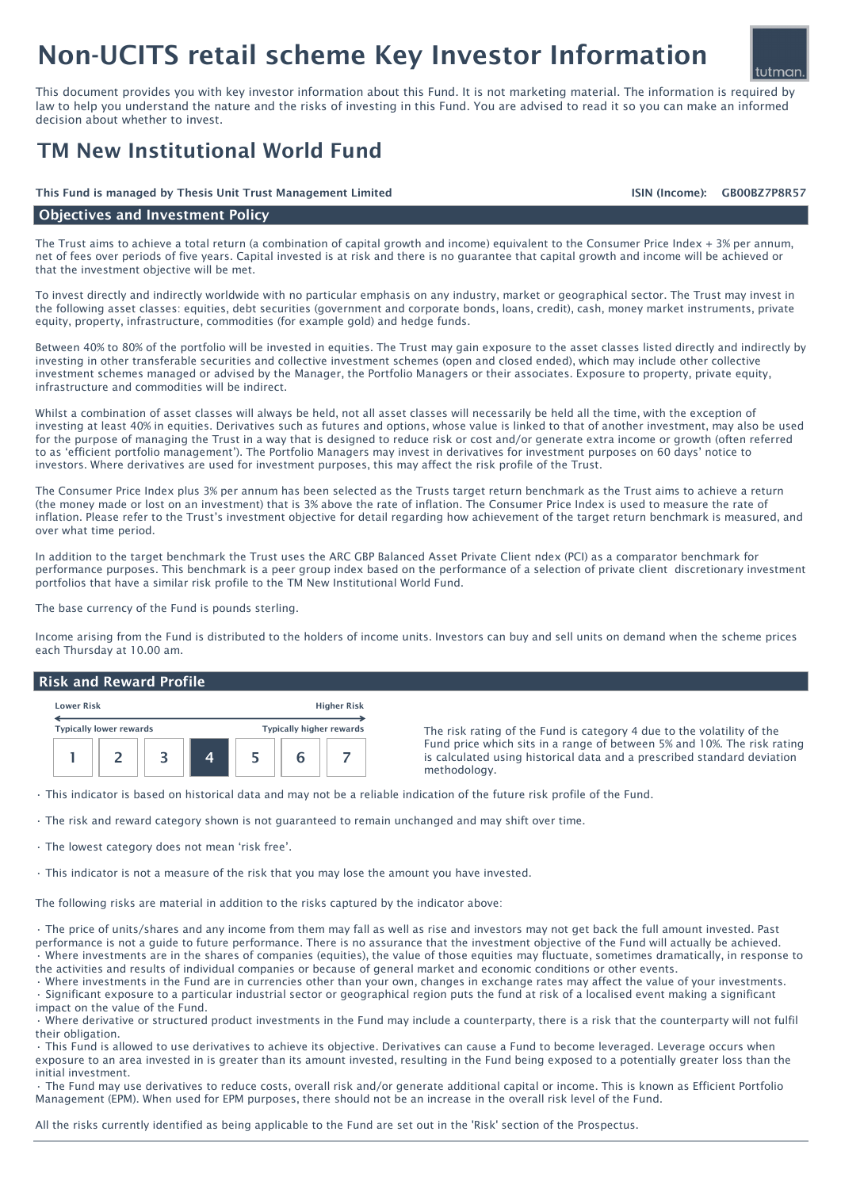# Non-UCITS retail scheme Key Investor Information

This document provides you with key investor information about this Fund. It is not marketing material. The information is required by law to help you understand the nature and the risks of investing in this Fund. You are advised to read it so you can make an informed decision about whether to invest.

### TM New Institutional World Fund

#### This Fund is managed by Thesis Unit Trust Management Limited GB00BZ7P8R57

#### Objectives and Investment Policy

The Trust aims to achieve a total return (a combination of capital growth and income) equivalent to the Consumer Price Index + 3% per annum, net of fees over periods of five years. Capital invested is at risk and there is no guarantee that capital growth and income will be achieved or that the investment objective will be met.

To invest directly and indirectly worldwide with no particular emphasis on any industry, market or geographical sector. The Trust may invest in the following asset classes: equities, debt securities (government and corporate bonds, loans, credit), cash, money market instruments, private equity, property, infrastructure, commodities (for example gold) and hedge funds.

Between 40% to 80% of the portfolio will be invested in equities. The Trust may gain exposure to the asset classes listed directly and indirectly by investing in other transferable securities and collective investment schemes (open and closed ended), which may include other collective investment schemes managed or advised by the Manager, the Portfolio Managers or their associates. Exposure to property, private equity, infrastructure and commodities will be indirect.

Whilst a combination of asset classes will always be held, not all asset classes will necessarily be held all the time, with the exception of investing at least 40% in equities. Derivatives such as futures and options, whose value is linked to that of another investment, may also be used for the purpose of managing the Trust in a way that is designed to reduce risk or cost and/or generate extra income or growth (often referred to as 'efficient portfolio management'). The Portfolio Managers may invest in derivatives for investment purposes on 60 days' notice to investors. Where derivatives are used for investment purposes, this may affect the risk profile of the Trust.

The Consumer Price Index plus 3% per annum has been selected as the Trusts target return benchmark as the Trust aims to achieve a return (the money made or lost on an investment) that is 3% above the rate of inflation. The Consumer Price Index is used to measure the rate of inflation. Please refer to the Trust's investment objective for detail regarding how achievement of the target return benchmark is measured, and over what time period.

In addition to the target benchmark the Trust uses the ARC GBP Balanced Asset Private Client ndex (PCI) as a comparator benchmark for performance purposes. This benchmark is a peer group index based on the performance of a selection of private client discretionary investment portfolios that have a similar risk profile to the TM New Institutional World Fund.

The base currency of the Fund is pounds sterling.

Income arising from the Fund is distributed to the holders of income units. Investors can buy and sell units on demand when the scheme prices each Thursday at 10.00 am.

#### Risk and Reward Profile

| <b>Lower Risk</b> | <b>Higher Risk</b>      |  |  |  |                                 |  |
|-------------------|-------------------------|--|--|--|---------------------------------|--|
|                   | Typically lower rewards |  |  |  | <b>Typically higher rewards</b> |  |
|                   |                         |  |  |  |                                 |  |

The risk rating of the Fund is category 4 due to the volatility of the Fund price which sits in a range of between 5% and 10%. The risk rating is calculated using historical data and a prescribed standard deviation methodology.

• This indicator is based on historical data and may not be a reliable indication of the future risk profile of the Fund.

• The risk and reward category shown is not guaranteed to remain unchanged and may shift over time.

• The lowest category does not mean 'risk free'.

• This indicator is not a measure of the risk that you may lose the amount you have invested.

The following risks are material in addition to the risks captured by the indicator above:

• The price of units/shares and any income from them may fall as well as rise and investors may not get back the full amount invested. Past performance is not a guide to future performance. There is no assurance that the investment objective of the Fund will actually be achieved. • Where investments are in the shares of companies (equities), the value of those equities may fluctuate, sometimes dramatically, in response to the activities and results of individual companies or because of general market and economic conditions or other events.

• Where investments in the Fund are in currencies other than your own, changes in exchange rates may affect the value of your investments. • Significant exposure to a particular industrial sector or geographical region puts the fund at risk of a localised event making a significant impact on the value of the Fund.

• Where derivative or structured product investments in the Fund may include a counterparty, there is a risk that the counterparty will not fulfil their obligation.

• This Fund is allowed to use derivatives to achieve its objective. Derivatives can cause a Fund to become leveraged. Leverage occurs when exposure to an area invested in is greater than its amount invested, resulting in the Fund being exposed to a potentially greater loss than the initial investment.

• The Fund may use derivatives to reduce costs, overall risk and/or generate additional capital or income. This is known as Efficient Portfolio Management (EPM). When used for EPM purposes, there should not be an increase in the overall risk level of the Fund.

All the risks currently identified as being applicable to the Fund are set out in the 'Risk' section of the Prospectus.

## tutman

ISIN (Income):